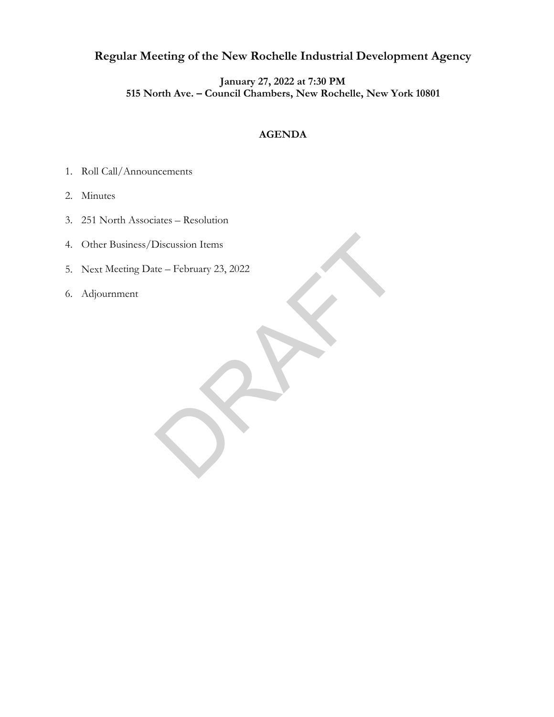# **Regular Meeting of the New Rochelle Industrial Development Agency**

**January 27, 2022 at 7:30 PM 515 North Ave. – Council Chambers, New Rochelle, New York 10801**

# **AGENDA**

- 1. Roll Call/Announcements
- 2. Minutes
- 3. 251 North Associates Resolution
- 4. Other Business/Discussion Items
- 5. Next Meeting Date February 23, 2022 Discussion Items<br>te – February 23, 2022<br>**Allen Schwarz (23, 2022**
- 6. Adjournment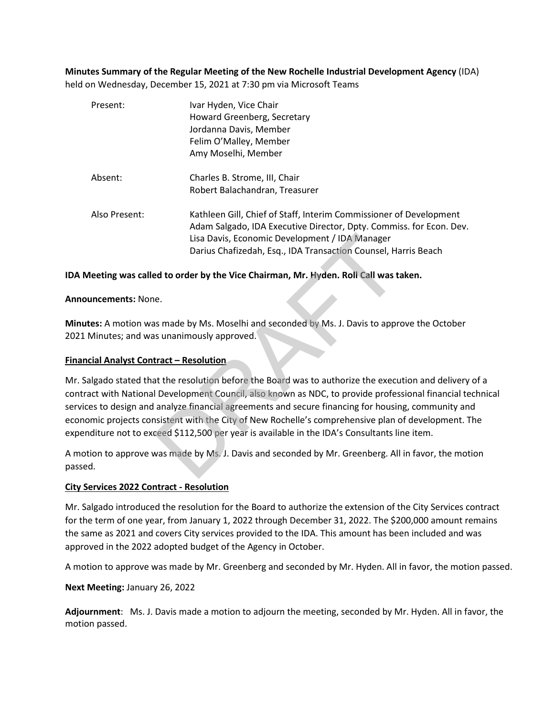**Minutes Summary of the Regular Meeting of the New Rochelle Industrial Development Agency** (IDA) held on Wednesday, December 15, 2021 at 7:30 pm via Microsoft Teams

| Present:      | Ivar Hyden, Vice Chair<br>Howard Greenberg, Secretary<br>Jordanna Davis, Member<br>Felim O'Malley, Member<br>Amy Moselhi, Member                                                                                                                              |
|---------------|---------------------------------------------------------------------------------------------------------------------------------------------------------------------------------------------------------------------------------------------------------------|
| Absent:       | Charles B. Strome, III, Chair<br>Robert Balachandran, Treasurer                                                                                                                                                                                               |
| Also Present: | Kathleen Gill, Chief of Staff, Interim Commissioner of Development<br>Adam Salgado, IDA Executive Director, Dpty. Commiss. for Econ. Dev.<br>Lisa Davis, Economic Development / IDA Manager<br>Darius Chafizedah, Esq., IDA Transaction Counsel, Harris Beach |

#### **IDA Meeting was called to order by the Vice Chairman, Mr. Hyden. Roll Call was taken.**

#### **Announcements:** None.

**Minutes:** A motion was made by Ms. Moselhi and seconded by Ms. J. Davis to approve the October 2021 Minutes; and was unanimously approved.

#### **Financial Analyst Contract – Resolution**

Mr. Salgado stated that the resolution before the Board was to authorize the execution and delivery of a contract with National Development Council, also known as NDC, to provide professional financial technical services to design and analyze financial agreements and secure financing for housing, community and economic projects consistent with the City of New Rochelle's comprehensive plan of development. The expenditure not to exceed \$112,500 per year is available in the IDA's Consultants line item. Lisa Davis, Economic Development / IDA Manager<br>Darius Chafizedah, Esq., IDA Transaction Counsel, Ha<br>ed to order by the Vice Chairman, Mr. Hyden. Roll Call was ta<br>e.<br>B. mande by Ms. Moselhi and seconded by Ms. J. Davis to a

A motion to approve was made by Ms. J. Davis and seconded by Mr. Greenberg. All in favor, the motion passed.

## **City Services 2022 Contract - Resolution**

Mr. Salgado introduced the resolution for the Board to authorize the extension of the City Services contract for the term of one year, from January 1, 2022 through December 31, 2022. The \$200,000 amount remains the same as 2021 and covers City services provided to the IDA. This amount has been included and was approved in the 2022 adopted budget of the Agency in October.

A motion to approve was made by Mr. Greenberg and seconded by Mr. Hyden. All in favor, the motion passed.

## **Next Meeting:** January 26, 2022

**Adjournment**: Ms. J. Davis made a motion to adjourn the meeting, seconded by Mr. Hyden. All in favor, the motion passed.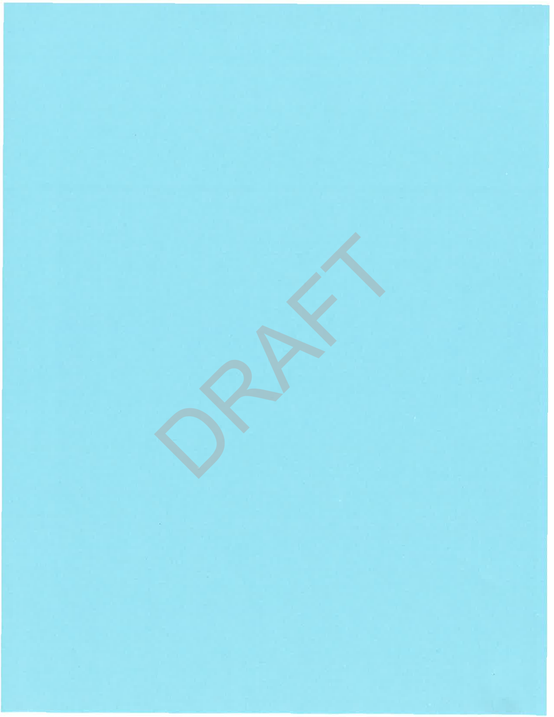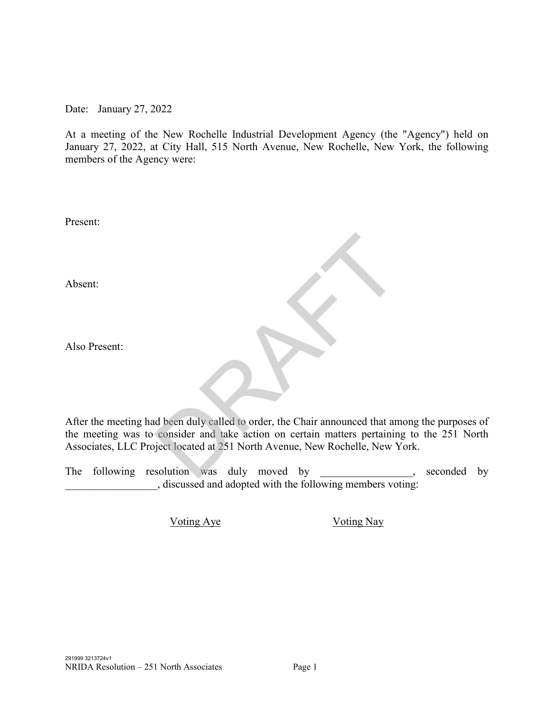Date: January 27, 2022

At a meeting of the New Rochelle Industrial Development Agency (the "Agency") held on January 27, 2022, at City Hall, 515 North Avenue, New Rochelle, New York, the following members of the Agency were:

Present:

Absent:

Also Present:

After the meeting had been duly called to order, the Chair announced that among the purposes of the meeting was to consider and take action on certain matters pertaining to the 251 North Associates, LLC Project located at 251 North Avenue, New Rochelle, New York. d been duly called to order, the Chair announced that am<br>
consider and take action on certain matters pertainin<br>
ject located at 251 North Avenue, New Rochelle, New Y<br>
solution was duly moved by

The following resolution was duly moved by \_\_\_\_\_\_\_\_\_\_\_\_\_\_, seconded by \_\_\_\_\_\_\_\_\_\_\_\_\_\_\_\_\_, discussed and adopted with the following members voting:

Voting Aye Voting Nay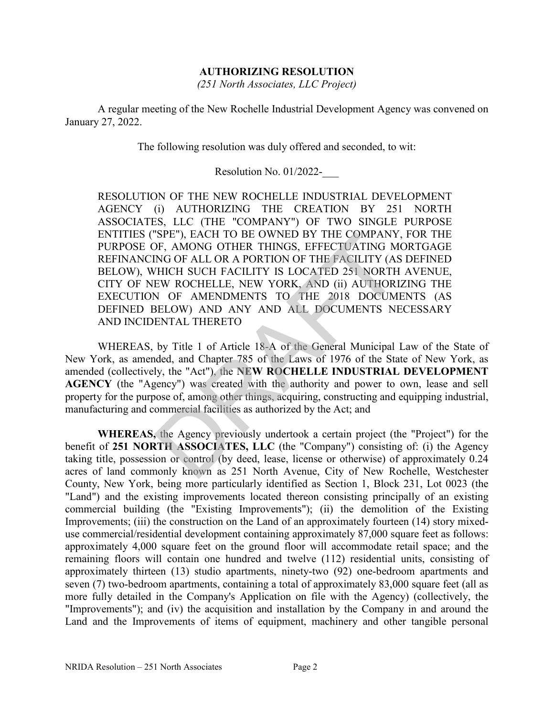## **AUTHORIZING RESOLUTION**

*(251 North Associates, LLC Project)* 

A regular meeting of the New Rochelle Industrial Development Agency was convened on January 27, 2022.

The following resolution was duly offered and seconded, to wit:

Resolution No. 01/2022-\_\_\_

RESOLUTION OF THE NEW ROCHELLE INDUSTRIAL DEVELOPMENT AGENCY (i) AUTHORIZING THE CREATION BY 251 NORTH ASSOCIATES, LLC (THE "COMPANY") OF TWO SINGLE PURPOSE ENTITIES ("SPE"), EACH TO BE OWNED BY THE COMPANY, FOR THE PURPOSE OF, AMONG OTHER THINGS, EFFECTUATING MORTGAGE REFINANCING OF ALL OR A PORTION OF THE FACILITY (AS DEFINED BELOW), WHICH SUCH FACILITY IS LOCATED 251 NORTH AVENUE, CITY OF NEW ROCHELLE, NEW YORK, AND (ii) AUTHORIZING THE EXECUTION OF AMENDMENTS TO THE 2018 DOCUMENTS (AS DEFINED BELOW) AND ANY AND ALL DOCUMENTS NECESSARY AND INCIDENTAL THERETO 'SPE"), EACH TO BE OWNED BY THE COMPANY<br>
DF, AMONG OTHER THINGS, EFFECTUATING M<br>
NG OF ALL OR A PORTION OF THE FACILITY (AS<br>
HICH SUCH FACILITY IS LOCATED 251 NORTH<br>
EW ROCHELLE, NEW YORK, AND (ii) AUTHORI<br>
N OF AMENDMENTS

WHEREAS, by Title 1 of Article 18-A of the General Municipal Law of the State of New York, as amended, and Chapter 785 of the Laws of 1976 of the State of New York, as amended (collectively, the "Act"), the **NEW ROCHELLE INDUSTRIAL DEVELOPMENT AGENCY** (the "Agency") was created with the authority and power to own, lease and sell property for the purpose of, among other things, acquiring, constructing and equipping industrial, manufacturing and commercial facilities as authorized by the Act; and

**WHEREAS,** the Agency previously undertook a certain project (the "Project") for the benefit of **251 NORTH ASSOCIATES, LLC** (the "Company") consisting of: (i) the Agency taking title, possession or control (by deed, lease, license or otherwise) of approximately 0.24 acres of land commonly known as 251 North Avenue, City of New Rochelle, Westchester County, New York, being more particularly identified as Section 1, Block 231, Lot 0023 (the "Land") and the existing improvements located thereon consisting principally of an existing commercial building (the "Existing Improvements"); (ii) the demolition of the Existing Improvements; (iii) the construction on the Land of an approximately fourteen (14) story mixeduse commercial/residential development containing approximately 87,000 square feet as follows: approximately 4,000 square feet on the ground floor will accommodate retail space; and the remaining floors will contain one hundred and twelve (112) residential units, consisting of approximately thirteen (13) studio apartments, ninety-two (92) one-bedroom apartments and seven (7) two-bedroom apartments, containing a total of approximately 83,000 square feet (all as more fully detailed in the Company's Application on file with the Agency) (collectively, the "Improvements"); and (iv) the acquisition and installation by the Company in and around the Land and the Improvements of items of equipment, machinery and other tangible personal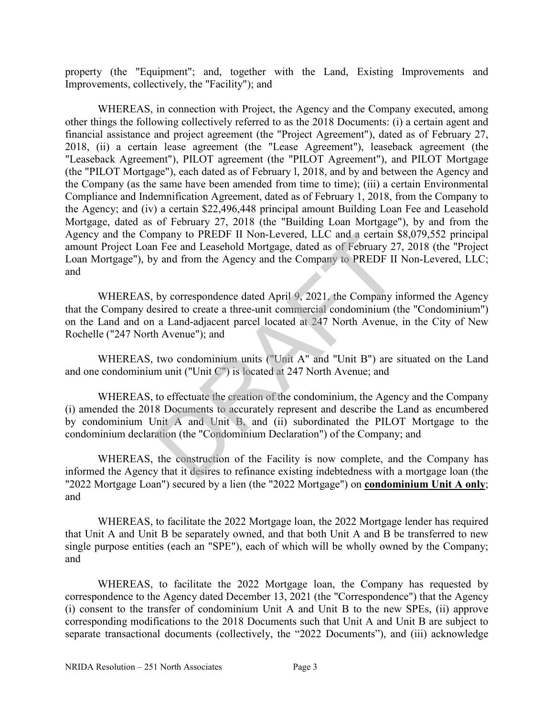property (the "Equipment"; and, together with the Land, Existing Improvements and Improvements, collectively, the "Facility"); and

WHEREAS, in connection with Project, the Agency and the Company executed, among other things the following collectively referred to as the 2018 Documents: (i) a certain agent and financial assistance and project agreement (the "Project Agreement"), dated as of February 27, 2018, (ii) a certain lease agreement (the "Lease Agreement"), leaseback agreement (the "Leaseback Agreement"), PILOT agreement (the "PILOT Agreement"), and PILOT Mortgage (the "PILOT Mortgage"), each dated as of February l, 2018, and by and between the Agency and the Company (as the same have been amended from time to time); (iii) a certain Environmental Compliance and Indemnification Agreement, dated as of February 1, 2018, from the Company to the Agency; and (iv) a certain \$22,496,448 principal amount Building Loan Fee and Leasehold Mortgage, dated as of February 27, 2018 (the "Building Loan Mortgage"), by and from the Agency and the Company to PREDF II Non-Levered, LLC and a certain \$8,079,552 principal amount Project Loan Fee and Leasehold Mortgage, dated as of February 27, 2018 (the "Project Loan Mortgage"), by and from the Agency and the Company to PREDF II Non-Levered, LLC; and

WHEREAS, by correspondence dated April 9, 2021, the Company informed the Agency that the Company desired to create a three-unit commercial condominium (the "Condominium") on the Land and on a Land-adjacent parcel located at 247 North Avenue, in the City of New Rochelle ("247 North Avenue"); and mpany to PREDF II Non-Levered, LLC and a certain 3<br>
1 Fee and Leasehold Mortgage, dated as of February 27<br>
y and from the Agency and the Company to PREDF II<br>
by correspondence dated April 9, 2021, the Company in<br>
sistical

WHEREAS, two condominium units ("Unit A" and "Unit B") are situated on the Land and one condominium unit ("Unit C") is located at 247 North Avenue; and

WHEREAS, to effectuate the creation of the condominium, the Agency and the Company (i) amended the 2018 Documents to accurately represent and describe the Land as encumbered by condominium Unit A and Unit B, and (ii) subordinated the PILOT Mortgage to the condominium declaration (the "Condominium Declaration") of the Company; and

WHEREAS, the construction of the Facility is now complete, and the Company has informed the Agency that it desires to refinance existing indebtedness with a mortgage loan (the "2022 Mortgage Loan") secured by a lien (the "2022 Mortgage") on **condominium Unit A only**; and

WHEREAS, to facilitate the 2022 Mortgage loan, the 2022 Mortgage lender has required that Unit A and Unit B be separately owned, and that both Unit A and B be transferred to new single purpose entities (each an "SPE"), each of which will be wholly owned by the Company; and

WHEREAS, to facilitate the 2022 Mortgage loan, the Company has requested by correspondence to the Agency dated December 13, 2021 (the "Correspondence") that the Agency (i) consent to the transfer of condominium Unit A and Unit B to the new SPEs, (ii) approve corresponding modifications to the 2018 Documents such that Unit A and Unit B are subject to separate transactional documents (collectively, the "2022 Documents"), and (iii) acknowledge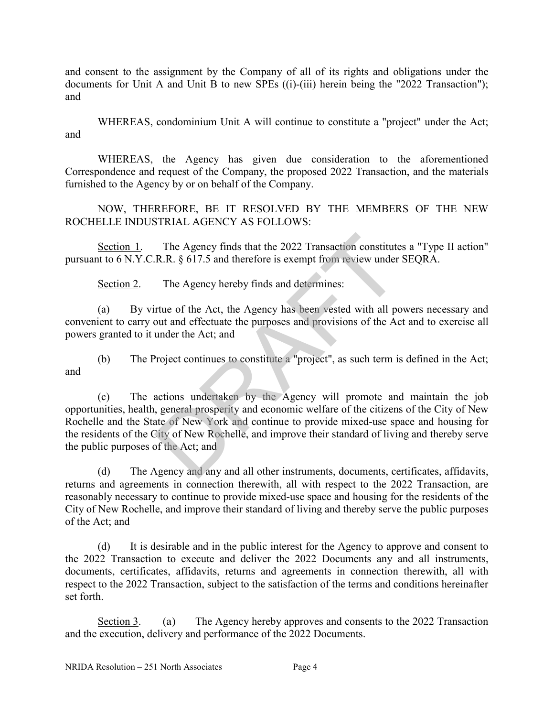and consent to the assignment by the Company of all of its rights and obligations under the documents for Unit A and Unit B to new SPEs ((i)-(iii) herein being the "2022 Transaction"); and

WHEREAS, condominium Unit A will continue to constitute a "project" under the Act; and

WHEREAS, the Agency has given due consideration to the aforementioned Correspondence and request of the Company, the proposed 2022 Transaction, and the materials furnished to the Agency by or on behalf of the Company.

NOW, THEREFORE, BE IT RESOLVED BY THE MEMBERS OF THE NEW ROCHELLE INDUSTRIAL AGENCY AS FOLLOWS:

Section 1. The Agency finds that the 2022 Transaction constitutes a "Type II action" pursuant to 6 N.Y.C.R.R. § 617.5 and therefore is exempt from review under SEQRA.

Section 2. The Agency hereby finds and determines:

(a) By virtue of the Act, the Agency has been vested with all powers necessary and convenient to carry out and effectuate the purposes and provisions of the Act and to exercise all powers granted to it under the Act; and

and

(b) The Project continues to constitute a "project", as such term is defined in the Act;

(c) The actions undertaken by the Agency will promote and maintain the job opportunities, health, general prosperity and economic welfare of the citizens of the City of New Rochelle and the State of New York and continue to provide mixed-use space and housing for the residents of the City of New Rochelle, and improve their standard of living and thereby serve the public purposes of the Act; and The Agency finds that the 2022 Transaction constitute<br>R.R. § 617.5 and therefore is exempt from review under<br>The Agency hereby finds and determines:<br>true of the Act, the Agency has been vested with all po<br>out and effectuat

(d) The Agency and any and all other instruments, documents, certificates, affidavits, returns and agreements in connection therewith, all with respect to the 2022 Transaction, are reasonably necessary to continue to provide mixed-use space and housing for the residents of the City of New Rochelle, and improve their standard of living and thereby serve the public purposes of the Act; and

(d) It is desirable and in the public interest for the Agency to approve and consent to the 2022 Transaction to execute and deliver the 2022 Documents any and all instruments, documents, certificates, affidavits, returns and agreements in connection therewith, all with respect to the 2022 Transaction, subject to the satisfaction of the terms and conditions hereinafter set forth.

Section 3. (a) The Agency hereby approves and consents to the 2022 Transaction and the execution, delivery and performance of the 2022 Documents.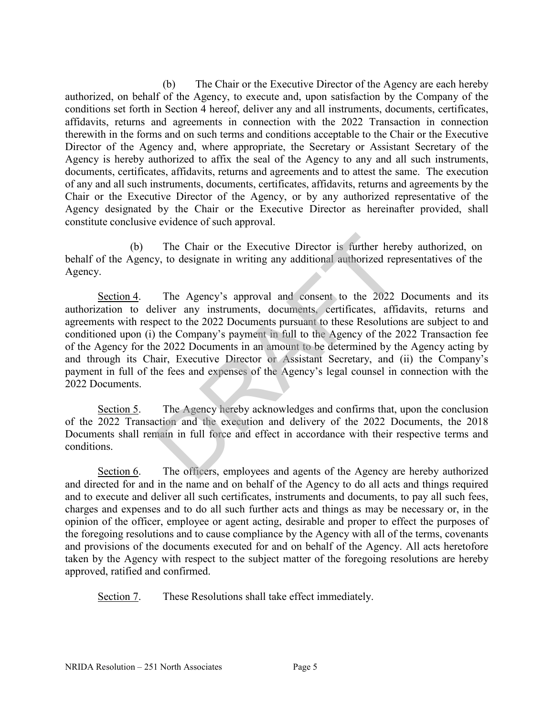(b) The Chair or the Executive Director of the Agency are each hereby authorized, on behalf of the Agency, to execute and, upon satisfaction by the Company of the conditions set forth in Section 4 hereof, deliver any and all instruments, documents, certificates, affidavits, returns and agreements in connection with the 2022 Transaction in connection therewith in the forms and on such terms and conditions acceptable to the Chair or the Executive Director of the Agency and, where appropriate, the Secretary or Assistant Secretary of the Agency is hereby authorized to affix the seal of the Agency to any and all such instruments, documents, certificates, affidavits, returns and agreements and to attest the same. The execution of any and all such instruments, documents, certificates, affidavits, returns and agreements by the Chair or the Executive Director of the Agency, or by any authorized representative of the Agency designated by the Chair or the Executive Director as hereinafter provided, shall constitute conclusive evidence of such approval.

(b) The Chair or the Executive Director is further hereby authorized, on behalf of the Agency, to designate in writing any additional authorized representatives of the Agency.

Section 4. The Agency's approval and consent to the 2022 Documents and its authorization to deliver any instruments, documents, certificates, affidavits, returns and agreements with respect to the 2022 Documents pursuant to these Resolutions are subject to and conditioned upon (i) the Company's payment in full to the Agency of the 2022 Transaction fee of the Agency for the 2022 Documents in an amount to be determined by the Agency acting by and through its Chair, Executive Director or Assistant Secretary, and (ii) the Company's payment in full of the fees and expenses of the Agency's legal counsel in connection with the 2022 Documents. The Chair or the Executive Director is further here<br>y, to designate in writing any additional authorized rep<br>The Agency's approval and consent to the 2022<br>elliver any instruments, documents, certificates, affidence<br>to the

Section 5. The Agency hereby acknowledges and confirms that, upon the conclusion of the 2022 Transaction and the execution and delivery of the 2022 Documents, the 2018 Documents shall remain in full force and effect in accordance with their respective terms and conditions.

Section 6. The officers, employees and agents of the Agency are hereby authorized and directed for and in the name and on behalf of the Agency to do all acts and things required and to execute and deliver all such certificates, instruments and documents, to pay all such fees, charges and expenses and to do all such further acts and things as may be necessary or, in the opinion of the officer, employee or agent acting, desirable and proper to effect the purposes of the foregoing resolutions and to cause compliance by the Agency with all of the terms, covenants and provisions of the documents executed for and on behalf of the Agency. All acts heretofore taken by the Agency with respect to the subject matter of the foregoing resolutions are hereby approved, ratified and confirmed.

Section 7. These Resolutions shall take effect immediately.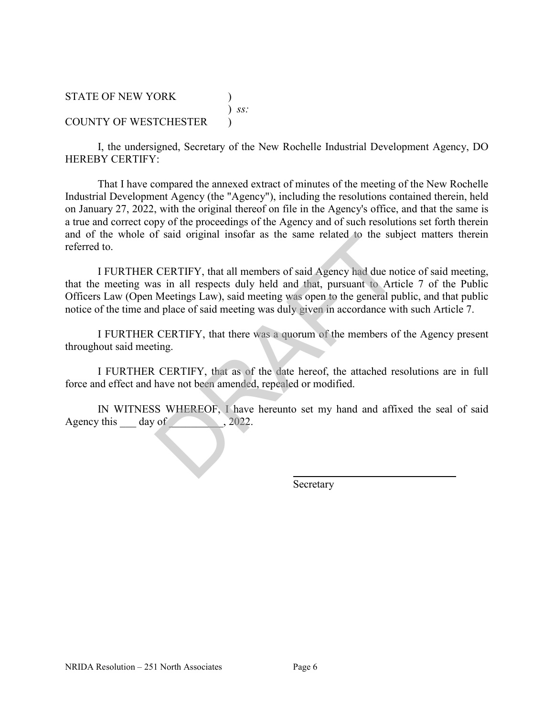STATE OF NEW YORK ) ) *ss:* COUNTY OF WESTCHESTER )

I, the undersigned, Secretary of the New Rochelle Industrial Development Agency, DO HEREBY CERTIFY:

That I have compared the annexed extract of minutes of the meeting of the New Rochelle Industrial Development Agency (the "Agency"), including the resolutions contained therein, held on January 27, 2022, with the original thereof on file in the Agency's office, and that the same is a true and correct copy of the proceedings of the Agency and of such resolutions set forth therein and of the whole of said original insofar as the same related to the subject matters therein referred to.

I FURTHER CERTIFY, that all members of said Agency had due notice of said meeting, that the meeting was in all respects duly held and that, pursuant to Article 7 of the Public Officers Law (Open Meetings Law), said meeting was open to the general public, and that public notice of the time and place of said meeting was duly given in accordance with such Article 7. and of the whole of said original insofar as the same related to the sub-<br>referred to.<br>I FURTHER CERTIFY, that all members of said Agency had due no<br>that the meeting was in all respects duly held and that, pursuant to Arti

I FURTHER CERTIFY, that there was a quorum of the members of the Agency present throughout said meeting.

I FURTHER CERTIFY, that as of the date hereof, the attached resolutions are in full force and effect and have not been amended, repealed or modified.

IN WITNESS WHEREOF, I have hereunto set my hand and affixed the seal of said Agency this  $\qquad \text{day of} \qquad \qquad , 2022.$ 

**Secretary**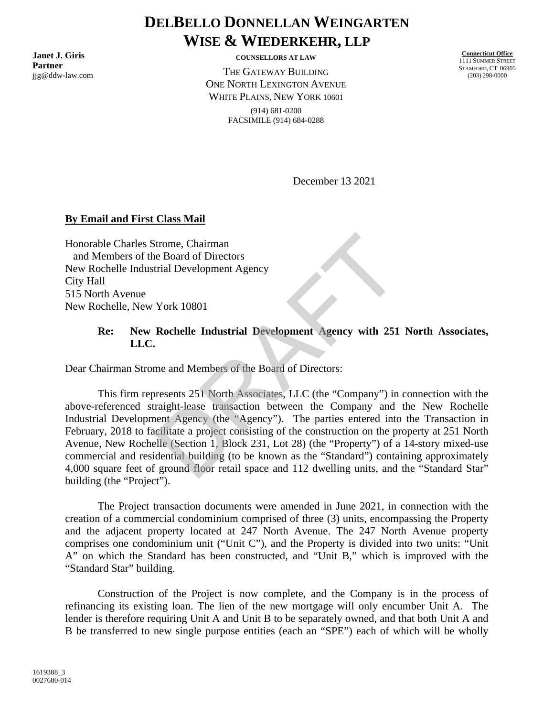**Janet J. Giris Partner** jjg@ddw-law.com

# **DELBELLO DONNELLAN WEINGARTEN WISE & WIEDERKEHR, LLP**

**COUNSELLORS AT LAW**

THE GATEWAY BUILDING ONE NORTH LEXINGTON AVENUE WHITE PLAINS, NEW YORK 10601 (914) 681-0200 FACSIMILE (914) 684-0288

**Connecticut Office** 1111 SUMMER STREET STAMFORD, CT 06905 (203) 298-0000

December 13 2021

## **By Email and First Class Mail**

Honorable Charles Strome, Chairman and Members of the Board of Directors New Rochelle Industrial Development Agency City Hall 515 North Avenue New Rochelle, New York 10801

## **Re: New Rochelle Industrial Development Agency with 251 North Associates, LLC.**

Dear Chairman Strome and Members of the Board of Directors:

 This firm represents 251 North Associates, LLC (the "Company") in connection with the above-referenced straight-lease transaction between the Company and the New Rochelle Industrial Development Agency (the "Agency"). The parties entered into the Transaction in February, 2018 to facilitate a project consisting of the construction on the property at 251 North Avenue, New Rochelle (Section 1, Block 231, Lot 28) (the "Property") of a 14-story mixed-use commercial and residential building (to be known as the "Standard") containing approximately 4,000 square feet of ground floor retail space and 112 dwelling units, and the "Standard Star" building (the "Project"). The Board of Directors<br>
Trial Development Agency<br>
York 10801<br> **Rochelle Industrial Development Agency with 251**<br>
The and Members of the Board of Directors:<br>
The and Members of the Board of Directors:<br>
The and Members of th

 The Project transaction documents were amended in June 2021, in connection with the creation of a commercial condominium comprised of three (3) units, encompassing the Property and the adjacent property located at 247 North Avenue. The 247 North Avenue property comprises one condominium unit ("Unit C"), and the Property is divided into two units: "Unit A" on which the Standard has been constructed, and "Unit B," which is improved with the "Standard Star" building.

Construction of the Project is now complete, and the Company is in the process of refinancing its existing loan. The lien of the new mortgage will only encumber Unit A. The lender is therefore requiring Unit A and Unit B to be separately owned, and that both Unit A and B be transferred to new single purpose entities (each an "SPE") each of which will be wholly